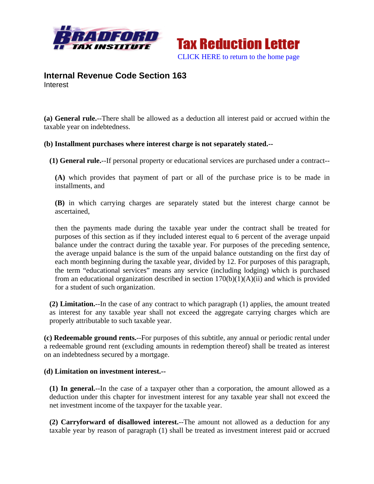



# **Internal Revenue Code Section 163** Interest

**(a) General rule.**--There shall be allowed as a deduction all interest paid or accrued within the taxable year on indebtedness.

### **(b) Installment purchases where interest charge is not separately stated.--**

**(1) General rule.**--If personal property or educational services are purchased under a contract--

**(A)** which provides that payment of part or all of the purchase price is to be made in installments, and

**(B)** in which carrying charges are separately stated but the interest charge cannot be ascertained,

then the payments made during the taxable year under the contract shall be treated for purposes of this section as if they included interest equal to 6 percent of the average unpaid balance under the contract during the taxable year. For purposes of the preceding sentence, the average unpaid balance is the sum of the unpaid balance outstanding on the first day of each month beginning during the taxable year, divided by 12. For purposes of this paragraph, the term "educational services" means any service (including lodging) which is purchased from an educational organization described in section  $170(b)(1)(A)(ii)$  and which is provided for a student of such organization.

**(2) Limitation.**--In the case of any contract to which paragraph (1) applies, the amount treated as interest for any taxable year shall not exceed the aggregate carrying charges which are properly attributable to such taxable year.

**(c) Redeemable ground rents.**--For purposes of this subtitle, any annual or periodic rental under a redeemable ground rent (excluding amounts in redemption thereof) shall be treated as interest on an indebtedness secured by a mortgage.

### **(d) Limitation on investment interest.--**

**(1) In general.**--In the case of a taxpayer other than a corporation, the amount allowed as a deduction under this chapter for investment interest for any taxable year shall not exceed the net investment income of the taxpayer for the taxable year.

**(2) Carryforward of disallowed interest.**--The amount not allowed as a deduction for any taxable year by reason of paragraph (1) shall be treated as investment interest paid or accrued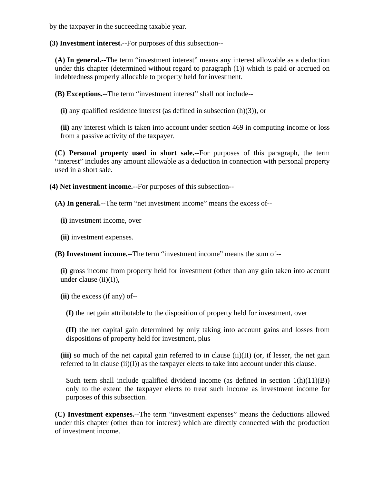by the taxpayer in the succeeding taxable year.

**(3) Investment interest.**--For purposes of this subsection--

**(A) In general.**--The term "investment interest" means any interest allowable as a deduction under this chapter (determined without regard to paragraph (1)) which is paid or accrued on indebtedness properly allocable to property held for investment.

**(B) Exceptions.**--The term "investment interest" shall not include--

**(i)** any qualified residence interest (as defined in subsection (h)(3)), or

**(ii)** any interest which is taken into account under section 469 in computing income or loss from a passive activity of the taxpayer.

**(C) Personal property used in short sale.**--For purposes of this paragraph, the term "interest" includes any amount allowable as a deduction in connection with personal property used in a short sale.

**(4) Net investment income.**--For purposes of this subsection--

**(A) In general.**--The term "net investment income" means the excess of--

**(i)** investment income, over

**(ii)** investment expenses.

**(B) Investment income.**--The term "investment income" means the sum of--

**(i)** gross income from property held for investment (other than any gain taken into account under clause (ii)(I)),

**(ii)** the excess (if any) of--

**(I)** the net gain attributable to the disposition of property held for investment, over

**(II)** the net capital gain determined by only taking into account gains and losses from dispositions of property held for investment, plus

**(iii)** so much of the net capital gain referred to in clause (ii)(II) (or, if lesser, the net gain referred to in clause (ii)(I)) as the taxpayer elects to take into account under this clause.

Such term shall include qualified dividend income (as defined in section  $1(h)(11)(B)$ ) only to the extent the taxpayer elects to treat such income as investment income for purposes of this subsection.

**(C) Investment expenses.**--The term "investment expenses" means the deductions allowed under this chapter (other than for interest) which are directly connected with the production of investment income.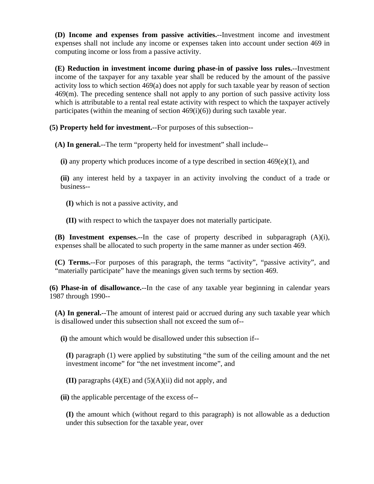**(D) Income and expenses from passive activities.**--Investment income and investment expenses shall not include any income or expenses taken into account under section 469 in computing income or loss from a passive activity.

**(E) Reduction in investment income during phase-in of passive loss rules.**--Investment income of the taxpayer for any taxable year shall be reduced by the amount of the passive activity loss to which section 469(a) does not apply for such taxable year by reason of section 469(m). The preceding sentence shall not apply to any portion of such passive activity loss which is attributable to a rental real estate activity with respect to which the taxpayer actively participates (within the meaning of section  $469(i)(6)$ ) during such taxable year.

**(5) Property held for investment.**--For purposes of this subsection--

**(A) In general.**--The term "property held for investment" shall include--

**(i)** any property which produces income of a type described in section 469(e)(1), and

**(ii)** any interest held by a taxpayer in an activity involving the conduct of a trade or business--

**(I)** which is not a passive activity, and

**(II)** with respect to which the taxpayer does not materially participate.

**(B) Investment expenses.**--In the case of property described in subparagraph (A)(i), expenses shall be allocated to such property in the same manner as under section 469.

**(C) Terms.**--For purposes of this paragraph, the terms "activity", "passive activity", and "materially participate" have the meanings given such terms by section 469.

**(6) Phase-in of disallowance.**--In the case of any taxable year beginning in calendar years 1987 through 1990--

**(A) In general.**--The amount of interest paid or accrued during any such taxable year which is disallowed under this subsection shall not exceed the sum of--

**(i)** the amount which would be disallowed under this subsection if--

**(I)** paragraph (1) were applied by substituting "the sum of the ceiling amount and the net investment income" for "the net investment income", and

**(II)** paragraphs (4)(E) and (5)(A)(ii) did not apply, and

**(ii)** the applicable percentage of the excess of--

**(I)** the amount which (without regard to this paragraph) is not allowable as a deduction under this subsection for the taxable year, over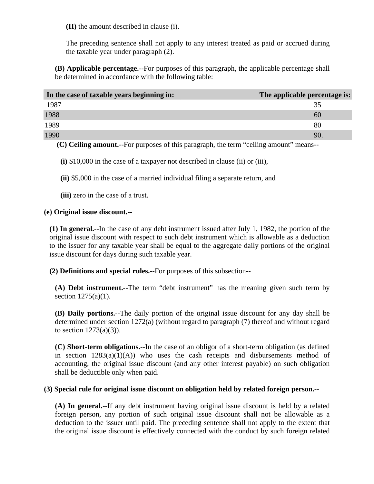**(II)** the amount described in clause (i).

The preceding sentence shall not apply to any interest treated as paid or accrued during the taxable year under paragraph (2).

**(B) Applicable percentage.**--For purposes of this paragraph, the applicable percentage shall be determined in accordance with the following table:

| In the case of taxable years beginning in: | The applicable percentage is: |
|--------------------------------------------|-------------------------------|
| 1987                                       | 35                            |
| 1988                                       | 60                            |
| 1989                                       | 80                            |
| 1990                                       | 90                            |

**(C) Ceiling amount.**--For purposes of this paragraph, the term "ceiling amount" means--

**(i)** \$10,000 in the case of a taxpayer not described in clause (ii) or (iii),

**(ii)** \$5,000 in the case of a married individual filing a separate return, and

**(iii)** zero in the case of a trust.

### **(e) Original issue discount.--**

**(1) In general.**--In the case of any debt instrument issued after July 1, 1982, the portion of the original issue discount with respect to such debt instrument which is allowable as a deduction to the issuer for any taxable year shall be equal to the aggregate daily portions of the original issue discount for days during such taxable year.

**(2) Definitions and special rules.**--For purposes of this subsection--

**(A) Debt instrument.**--The term "debt instrument" has the meaning given such term by section 1275(a)(1).

**(B) Daily portions.**--The daily portion of the original issue discount for any day shall be determined under section 1272(a) (without regard to paragraph (7) thereof and without regard to section  $1273(a)(3)$ ).

**(C) Short-term obligations.**--In the case of an obligor of a short-term obligation (as defined in section  $1283(a)(1)(A)$  who uses the cash receipts and disbursements method of accounting, the original issue discount (and any other interest payable) on such obligation shall be deductible only when paid.

### **(3) Special rule for original issue discount on obligation held by related foreign person.--**

**(A) In general.**--If any debt instrument having original issue discount is held by a related foreign person, any portion of such original issue discount shall not be allowable as a deduction to the issuer until paid. The preceding sentence shall not apply to the extent that the original issue discount is effectively connected with the conduct by such foreign related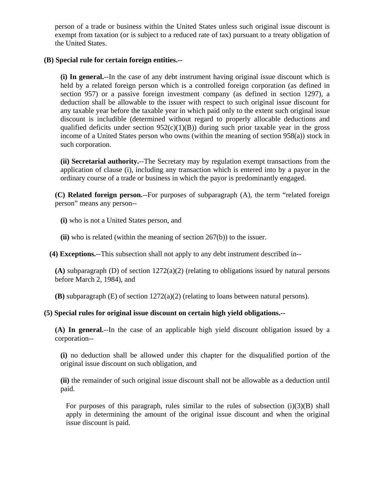person of a trade or business within the United States unless such original issue discount is exempt from taxation (or is subject to a reduced rate of tax) pursuant to a treaty obligation of the United States.

### **(B) Special rule for certain foreign entities.--**

**(i) In general.**--In the case of any debt instrument having original issue discount which is held by a related foreign person which is a controlled foreign corporation (as defined in section 957) or a passive foreign investment company (as defined in section 1297), a deduction shall be allowable to the issuer with respect to such original issue discount for any taxable year before the taxable year in which paid only to the extent such original issue discount is includible (determined without regard to properly allocable deductions and qualified deficits under section  $952(c)(1)(B)$ ) during such prior taxable year in the gross income of a United States person who owns (within the meaning of section 958(a)) stock in such corporation.

**(ii) Secretarial authority.**--The Secretary may by regulation exempt transactions from the application of clause (i), including any transaction which is entered into by a payor in the ordinary course of a trade or business in which the payor is predominantly engaged.

**(C) Related foreign person.**--For purposes of subparagraph (A), the term "related foreign person" means any person--

**(i)** who is not a United States person, and

**(ii)** who is related (within the meaning of section 267(b)) to the issuer.

**(4) Exceptions.**--This subsection shall not apply to any debt instrument described in--

**(A)** subparagraph (D) of section 1272(a)(2) (relating to obligations issued by natural persons before March 2, 1984), and

**(B)** subparagraph (E) of section 1272(a)(2) (relating to loans between natural persons).

## **(5) Special rules for original issue discount on certain high yield obligations.--**

**(A) In general.**--In the case of an applicable high yield discount obligation issued by a corporation--

**(i)** no deduction shall be allowed under this chapter for the disqualified portion of the original issue discount on such obligation, and

**(ii)** the remainder of such original issue discount shall not be allowable as a deduction until paid.

For purposes of this paragraph, rules similar to the rules of subsection  $(i)(3)(B)$  shall apply in determining the amount of the original issue discount and when the original issue discount is paid.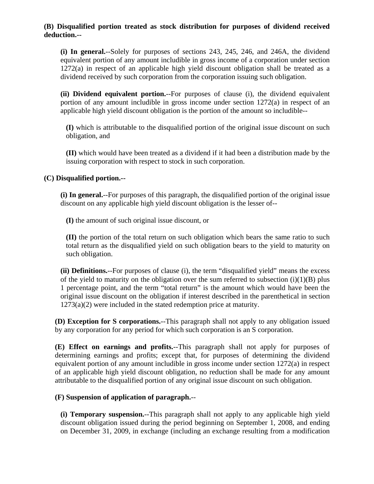### **(B) Disqualified portion treated as stock distribution for purposes of dividend received deduction.--**

**(i) In general.**--Solely for purposes of sections 243, 245, 246, and 246A, the dividend equivalent portion of any amount includible in gross income of a corporation under section 1272(a) in respect of an applicable high yield discount obligation shall be treated as a dividend received by such corporation from the corporation issuing such obligation.

**(ii) Dividend equivalent portion.**--For purposes of clause (i), the dividend equivalent portion of any amount includible in gross income under section 1272(a) in respect of an applicable high yield discount obligation is the portion of the amount so includible--

**(I)** which is attributable to the disqualified portion of the original issue discount on such obligation, and

**(II)** which would have been treated as a dividend if it had been a distribution made by the issuing corporation with respect to stock in such corporation.

## **(C) Disqualified portion.--**

**(i) In general.**--For purposes of this paragraph, the disqualified portion of the original issue discount on any applicable high yield discount obligation is the lesser of--

**(I)** the amount of such original issue discount, or

**(II)** the portion of the total return on such obligation which bears the same ratio to such total return as the disqualified yield on such obligation bears to the yield to maturity on such obligation.

**(ii) Definitions.**--For purposes of clause (i), the term "disqualified yield" means the excess of the yield to maturity on the obligation over the sum referred to subsection  $(i)(1)(B)$  plus 1 percentage point, and the term "total return" is the amount which would have been the original issue discount on the obligation if interest described in the parenthetical in section 1273(a)(2) were included in the stated redemption price at maturity.

**(D) Exception for S corporations.**--This paragraph shall not apply to any obligation issued by any corporation for any period for which such corporation is an S corporation.

**(E) Effect on earnings and profits.**--This paragraph shall not apply for purposes of determining earnings and profits; except that, for purposes of determining the dividend equivalent portion of any amount includible in gross income under section 1272(a) in respect of an applicable high yield discount obligation, no reduction shall be made for any amount attributable to the disqualified portion of any original issue discount on such obligation.

## **(F) Suspension of application of paragraph.**--

**(i) Temporary suspension.**--This paragraph shall not apply to any applicable high yield discount obligation issued during the period beginning on September 1, 2008, and ending on December 31, 2009, in exchange (including an exchange resulting from a modification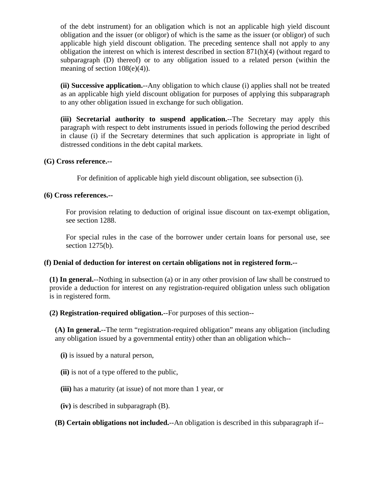of the debt instrument) for an obligation which is not an applicable high yield discount obligation and the issuer (or obligor) of which is the same as the issuer (or obligor) of such applicable high yield discount obligation. The preceding sentence shall not apply to any obligation the interest on which is interest described in section 871(h)(4) (without regard to subparagraph (D) thereof) or to any obligation issued to a related person (within the meaning of section 108(e)(4)).

**(ii) Successive application.**--Any obligation to which clause (i) applies shall not be treated as an applicable high yield discount obligation for purposes of applying this subparagraph to any other obligation issued in exchange for such obligation.

**(iii) Secretarial authority to suspend application.**--The Secretary may apply this paragraph with respect to debt instruments issued in periods following the period described in clause (i) if the Secretary determines that such application is appropriate in light of distressed conditions in the debt capital markets.

### **(G) Cross reference.--**

For definition of applicable high yield discount obligation, see subsection (i).

#### **(6) Cross references.--**

For provision relating to deduction of original issue discount on tax-exempt obligation, see section 1288.

For special rules in the case of the borrower under certain loans for personal use, see section 1275(b).

#### **(f) Denial of deduction for interest on certain obligations not in registered form.--**

**(1) In general.**--Nothing in subsection (a) or in any other provision of law shall be construed to provide a deduction for interest on any registration-required obligation unless such obligation is in registered form.

**(2) Registration-required obligation.**--For purposes of this section--

**(A) In general.**--The term "registration-required obligation" means any obligation (including any obligation issued by a governmental entity) other than an obligation which--

**(i)** is issued by a natural person,

**(ii)** is not of a type offered to the public,

**(iii)** has a maturity (at issue) of not more than 1 year, or

**(iv)** is described in subparagraph (B).

**(B) Certain obligations not included.**--An obligation is described in this subparagraph if--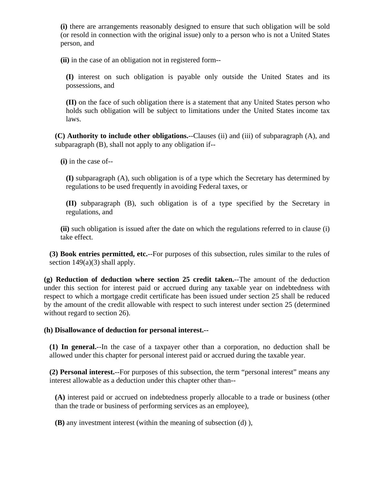**(i)** there are arrangements reasonably designed to ensure that such obligation will be sold (or resold in connection with the original issue) only to a person who is not a United States person, and

**(ii)** in the case of an obligation not in registered form--

**(I)** interest on such obligation is payable only outside the United States and its possessions, and

**(II)** on the face of such obligation there is a statement that any United States person who holds such obligation will be subject to limitations under the United States income tax laws.

**(C) Authority to include other obligations.**--Clauses (ii) and (iii) of subparagraph (A), and subparagraph (B), shall not apply to any obligation if--

**(i)** in the case of--

**(I)** subparagraph (A), such obligation is of a type which the Secretary has determined by regulations to be used frequently in avoiding Federal taxes, or

**(II)** subparagraph (B), such obligation is of a type specified by the Secretary in regulations, and

**(ii)** such obligation is issued after the date on which the regulations referred to in clause (i) take effect.

**(3) Book entries permitted, etc.**--For purposes of this subsection, rules similar to the rules of section  $149(a)(3)$  shall apply.

**(g) Reduction of deduction where section 25 credit taken.**--The amount of the deduction under this section for interest paid or accrued during any taxable year on indebtedness with respect to which a mortgage credit certificate has been issued under section 25 shall be reduced by the amount of the credit allowable with respect to such interest under section 25 (determined without regard to section 26).

### **(h) Disallowance of deduction for personal interest.--**

**(1) In general.**--In the case of a taxpayer other than a corporation, no deduction shall be allowed under this chapter for personal interest paid or accrued during the taxable year.

**(2) Personal interest.**--For purposes of this subsection, the term "personal interest" means any interest allowable as a deduction under this chapter other than--

**(A)** interest paid or accrued on indebtedness properly allocable to a trade or business (other than the trade or business of performing services as an employee),

**(B)** any investment interest (within the meaning of subsection (d) ),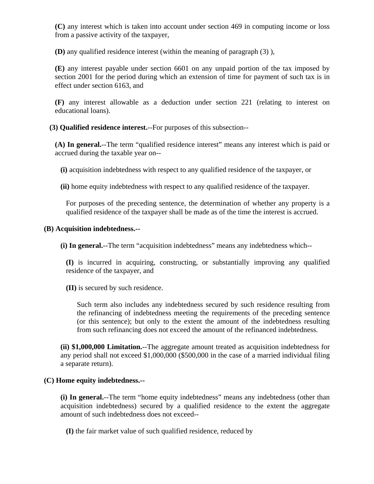**(C)** any interest which is taken into account under section 469 in computing income or loss from a passive activity of the taxpayer,

**(D)** any qualified residence interest (within the meaning of paragraph (3) ),

**(E)** any interest payable under section 6601 on any unpaid portion of the tax imposed by section 2001 for the period during which an extension of time for payment of such tax is in effect under section 6163, and

**(F)** any interest allowable as a deduction under section 221 (relating to interest on educational loans).

**(3) Qualified residence interest.**--For purposes of this subsection--

**(A) In general.**--The term "qualified residence interest" means any interest which is paid or accrued during the taxable year on--

**(i)** acquisition indebtedness with respect to any qualified residence of the taxpayer, or

**(ii)** home equity indebtedness with respect to any qualified residence of the taxpayer.

For purposes of the preceding sentence, the determination of whether any property is a qualified residence of the taxpayer shall be made as of the time the interest is accrued.

### **(B) Acquisition indebtedness.--**

**(i) In general.**--The term "acquisition indebtedness" means any indebtedness which--

**(I)** is incurred in acquiring, constructing, or substantially improving any qualified residence of the taxpayer, and

**(II)** is secured by such residence.

Such term also includes any indebtedness secured by such residence resulting from the refinancing of indebtedness meeting the requirements of the preceding sentence (or this sentence); but only to the extent the amount of the indebtedness resulting from such refinancing does not exceed the amount of the refinanced indebtedness.

**(ii) \$1,000,000 Limitation.**--The aggregate amount treated as acquisition indebtedness for any period shall not exceed \$1,000,000 (\$500,000 in the case of a married individual filing a separate return).

### **(C) Home equity indebtedness.--**

**(i) In general.**--The term "home equity indebtedness" means any indebtedness (other than acquisition indebtedness) secured by a qualified residence to the extent the aggregate amount of such indebtedness does not exceed--

**(I)** the fair market value of such qualified residence, reduced by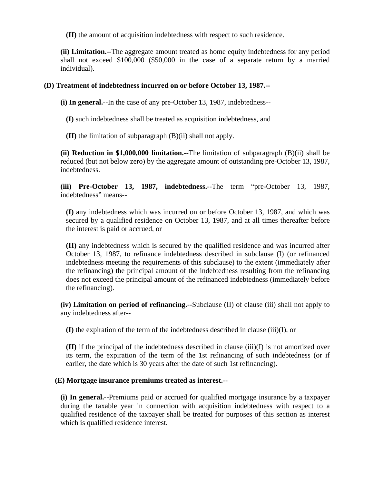**(II)** the amount of acquisition indebtedness with respect to such residence.

**(ii) Limitation.**--The aggregate amount treated as home equity indebtedness for any period shall not exceed \$100,000 (\$50,000 in the case of a separate return by a married individual).

### **(D) Treatment of indebtedness incurred on or before October 13, 1987.--**

**(i) In general.**--In the case of any pre-October 13, 1987, indebtedness--

**(I)** such indebtedness shall be treated as acquisition indebtedness, and

**(II)** the limitation of subparagraph (B)(ii) shall not apply.

**(ii) Reduction in \$1,000,000 limitation.**--The limitation of subparagraph (B)(ii) shall be reduced (but not below zero) by the aggregate amount of outstanding pre-October 13, 1987, indebtedness.

**(iii) Pre-October 13, 1987, indebtedness.**--The term "pre-October 13, 1987, indebtedness" means--

**(I)** any indebtedness which was incurred on or before October 13, 1987, and which was secured by a qualified residence on October 13, 1987, and at all times thereafter before the interest is paid or accrued, or

**(II)** any indebtedness which is secured by the qualified residence and was incurred after October 13, 1987, to refinance indebtedness described in subclause (I) (or refinanced indebtedness meeting the requirements of this subclause) to the extent (immediately after the refinancing) the principal amount of the indebtedness resulting from the refinancing does not exceed the principal amount of the refinanced indebtedness (immediately before the refinancing).

**(iv) Limitation on period of refinancing.**--Subclause (II) of clause (iii) shall not apply to any indebtedness after--

**(I)** the expiration of the term of the indebtedness described in clause (iii)(I), or

**(II)** if the principal of the indebtedness described in clause (iii)(I) is not amortized over its term, the expiration of the term of the 1st refinancing of such indebtedness (or if earlier, the date which is 30 years after the date of such 1st refinancing).

### **(E) Mortgage insurance premiums treated as interest.**--

**(i) In general.**--Premiums paid or accrued for qualified mortgage insurance by a taxpayer during the taxable year in connection with acquisition indebtedness with respect to a qualified residence of the taxpayer shall be treated for purposes of this section as interest which is qualified residence interest.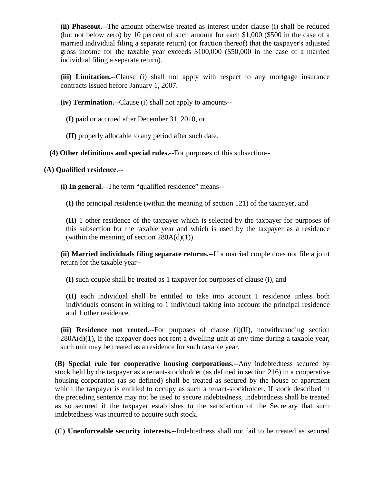**(ii) Phaseout.**--The amount otherwise treated as interest under clause (i) shall be reduced (but not below zero) by 10 percent of such amount for each \$1,000 (\$500 in the case of a married individual filing a separate return) (or fraction thereof) that the taxpayer's adjusted gross income for the taxable year exceeds \$100,000 (\$50,000 in the case of a married individual filing a separate return).

**(iii) Limitation.**--Clause (i) shall not apply with respect to any mortgage insurance contracts issued before January 1, 2007.

**(iv) Termination.**--Clause (i) shall not apply to amounts--

**(I)** paid or accrued after December 31, 2010, or

**(II)** properly allocable to any period after such date.

**(4) Other definitions and special rules.**--For purposes of this subsection--

## **(A) Qualified residence.--**

**(i) In general.**--The term "qualified residence" means--

**(I)** the principal residence (within the meaning of section 121) of the taxpayer, and

**(II)** 1 other residence of the taxpayer which is selected by the taxpayer for purposes of this subsection for the taxable year and which is used by the taxpayer as a residence (within the meaning of section  $280A(d)(1)$ ).

**(ii) Married individuals filing separate returns.**--If a married couple does not file a joint return for the taxable year--

**(I)** such couple shall be treated as 1 taxpayer for purposes of clause (i), and

**(II)** each individual shall be entitled to take into account 1 residence unless both individuals consent in writing to 1 individual taking into account the principal residence and 1 other residence.

**(iii) Residence not rented.**--For purposes of clause (i)(II), notwithstanding section  $280A(d)(1)$ , if the taxpayer does not rent a dwelling unit at any time during a taxable year, such unit may be treated as a residence for such taxable year.

**(B) Special rule for cooperative housing corporations.**--Any indebtedness secured by stock held by the taxpayer as a tenant-stockholder (as defined in section 216) in a cooperative housing corporation (as so defined) shall be treated as secured by the house or apartment which the taxpayer is entitled to occupy as such a tenant-stockholder. If stock described in the preceding sentence may not be used to secure indebtedness, indebtedness shall be treated as so secured if the taxpayer establishes to the satisfaction of the Secretary that such indebtedness was incurred to acquire such stock.

**(C) Unenforceable security interests.**--Indebtedness shall not fail to be treated as secured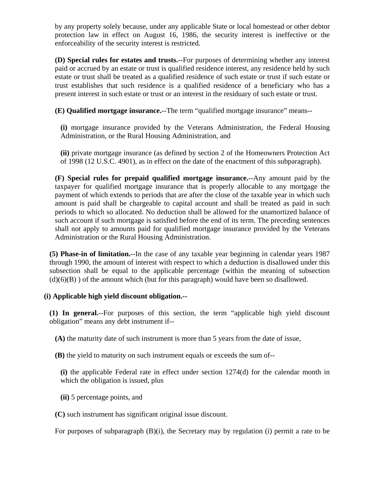by any property solely because, under any applicable State or local homestead or other debtor protection law in effect on August 16, 1986, the security interest is ineffective or the enforceability of the security interest is restricted.

**(D) Special rules for estates and trusts.**--For purposes of determining whether any interest paid or accrued by an estate or trust is qualified residence interest, any residence held by such estate or trust shall be treated as a qualified residence of such estate or trust if such estate or trust establishes that such residence is a qualified residence of a beneficiary who has a present interest in such estate or trust or an interest in the residuary of such estate or trust.

**(E) Qualified mortgage insurance.**--The term "qualified mortgage insurance" means--

**(i)** mortgage insurance provided by the Veterans Administration, the Federal Housing Administration, or the Rural Housing Administration, and

**(ii)** private mortgage insurance (as defined by section 2 of the Homeowners Protection Act of 1998 (12 U.S.C. 4901), as in effect on the date of the enactment of this subparagraph).

**(F) Special rules for prepaid qualified mortgage insurance.**--Any amount paid by the taxpayer for qualified mortgage insurance that is properly allocable to any mortgage the payment of which extends to periods that are after the close of the taxable year in which such amount is paid shall be chargeable to capital account and shall be treated as paid in such periods to which so allocated. No deduction shall be allowed for the unamortized balance of such account if such mortgage is satisfied before the end of its term. The preceding sentences shall not apply to amounts paid for qualified mortgage insurance provided by the Veterans Administration or the Rural Housing Administration.

**(5) Phase-in of limitation.**--In the case of any taxable year beginning in calendar years 1987 through 1990, the amount of interest with respect to which a deduction is disallowed under this subsection shall be equal to the applicable percentage (within the meaning of subsection  $(d)(6)(B)$ ) of the amount which (but for this paragraph) would have been so disallowed.

## **(i) Applicable high yield discount obligation.--**

**(1) In general.**--For purposes of this section, the term "applicable high yield discount obligation" means any debt instrument if--

**(A)** the maturity date of such instrument is more than 5 years from the date of issue,

**(B)** the yield to maturity on such instrument equals or exceeds the sum of--

**(i)** the applicable Federal rate in effect under section 1274(d) for the calendar month in which the obligation is issued, plus

**(ii)** 5 percentage points, and

**(C)** such instrument has significant original issue discount.

For purposes of subparagraph  $(B)(i)$ , the Secretary may by regulation (i) permit a rate to be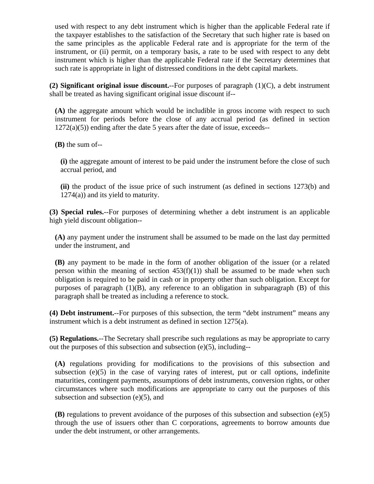used with respect to any debt instrument which is higher than the applicable Federal rate if the taxpayer establishes to the satisfaction of the Secretary that such higher rate is based on the same principles as the applicable Federal rate and is appropriate for the term of the instrument, or (ii) permit, on a temporary basis, a rate to be used with respect to any debt instrument which is higher than the applicable Federal rate if the Secretary determines that such rate is appropriate in light of distressed conditions in the debt capital markets.

**(2) Significant original issue discount.**--For purposes of paragraph (1)(C), a debt instrument shall be treated as having significant original issue discount if--

**(A)** the aggregate amount which would be includible in gross income with respect to such instrument for periods before the close of any accrual period (as defined in section  $1272(a)(5)$ ) ending after the date 5 years after the date of issue, exceeds--

**(B)** the sum of--

**(i)** the aggregate amount of interest to be paid under the instrument before the close of such accrual period, and

**(ii)** the product of the issue price of such instrument (as defined in sections 1273(b) and 1274(a)) and its yield to maturity.

**(3) Special rules.**--For purposes of determining whether a debt instrument is an applicable high yield discount obligation--

**(A)** any payment under the instrument shall be assumed to be made on the last day permitted under the instrument, and

**(B)** any payment to be made in the form of another obligation of the issuer (or a related person within the meaning of section  $453(f)(1)$  shall be assumed to be made when such obligation is required to be paid in cash or in property other than such obligation. Except for purposes of paragraph  $(1)(B)$ , any reference to an obligation in subparagraph  $(B)$  of this paragraph shall be treated as including a reference to stock.

**(4) Debt instrument.**--For purposes of this subsection, the term "debt instrument" means any instrument which is a debt instrument as defined in section 1275(a).

**(5) Regulations.**--The Secretary shall prescribe such regulations as may be appropriate to carry out the purposes of this subsection and subsection (e)(5), including--

**(A)** regulations providing for modifications to the provisions of this subsection and subsection  $(e)(5)$  in the case of varying rates of interest, put or call options, indefinite maturities, contingent payments, assumptions of debt instruments, conversion rights, or other circumstances where such modifications are appropriate to carry out the purposes of this subsection and subsection (e)(5), and

**(B)** regulations to prevent avoidance of the purposes of this subsection and subsection (e)(5) through the use of issuers other than C corporations, agreements to borrow amounts due under the debt instrument, or other arrangements.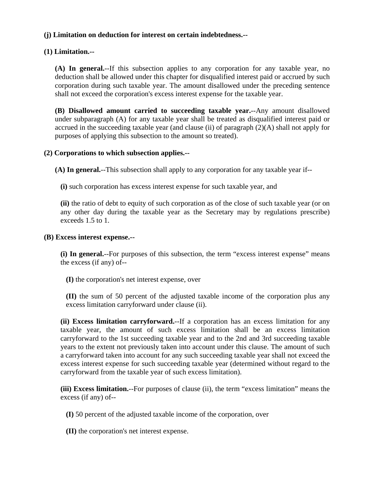## **(j) Limitation on deduction for interest on certain indebtedness.--**

### **(1) Limitation.--**

**(A) In general.**--If this subsection applies to any corporation for any taxable year, no deduction shall be allowed under this chapter for disqualified interest paid or accrued by such corporation during such taxable year. The amount disallowed under the preceding sentence shall not exceed the corporation's excess interest expense for the taxable year.

**(B) Disallowed amount carried to succeeding taxable year.**--Any amount disallowed under subparagraph (A) for any taxable year shall be treated as disqualified interest paid or accrued in the succeeding taxable year (and clause (ii) of paragraph (2)(A) shall not apply for purposes of applying this subsection to the amount so treated).

### **(2) Corporations to which subsection applies.--**

**(A) In general.**--This subsection shall apply to any corporation for any taxable year if--

**(i)** such corporation has excess interest expense for such taxable year, and

**(ii)** the ratio of debt to equity of such corporation as of the close of such taxable year (or on any other day during the taxable year as the Secretary may by regulations prescribe) exceeds 1.5 to 1.

### **(B) Excess interest expense.--**

**(i) In general.**--For purposes of this subsection, the term "excess interest expense" means the excess (if any) of--

**(I)** the corporation's net interest expense, over

**(II)** the sum of 50 percent of the adjusted taxable income of the corporation plus any excess limitation carryforward under clause (ii).

**(ii) Excess limitation carryforward.**--If a corporation has an excess limitation for any taxable year, the amount of such excess limitation shall be an excess limitation carryforward to the 1st succeeding taxable year and to the 2nd and 3rd succeeding taxable years to the extent not previously taken into account under this clause. The amount of such a carryforward taken into account for any such succeeding taxable year shall not exceed the excess interest expense for such succeeding taxable year (determined without regard to the carryforward from the taxable year of such excess limitation).

**(iii) Excess limitation.**--For purposes of clause (ii), the term "excess limitation" means the excess (if any) of--

**(I)** 50 percent of the adjusted taxable income of the corporation, over

**(II)** the corporation's net interest expense.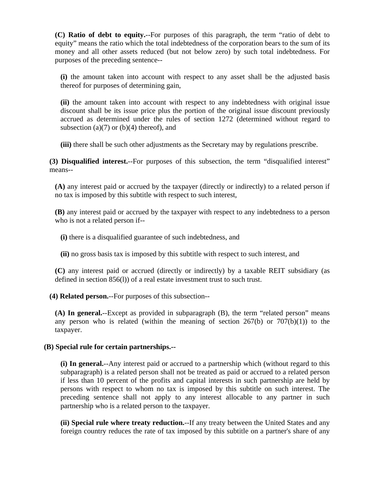**(C) Ratio of debt to equity.**--For purposes of this paragraph, the term "ratio of debt to equity" means the ratio which the total indebtedness of the corporation bears to the sum of its money and all other assets reduced (but not below zero) by such total indebtedness. For purposes of the preceding sentence--

**(i)** the amount taken into account with respect to any asset shall be the adjusted basis thereof for purposes of determining gain,

**(ii)** the amount taken into account with respect to any indebtedness with original issue discount shall be its issue price plus the portion of the original issue discount previously accrued as determined under the rules of section 1272 (determined without regard to subsection  $(a)(7)$  or  $(b)(4)$  thereof), and

**(iii)** there shall be such other adjustments as the Secretary may by regulations prescribe.

**(3) Disqualified interest.**--For purposes of this subsection, the term "disqualified interest" means--

**(A)** any interest paid or accrued by the taxpayer (directly or indirectly) to a related person if no tax is imposed by this subtitle with respect to such interest,

**(B)** any interest paid or accrued by the taxpayer with respect to any indebtedness to a person who is not a related person if--

**(i)** there is a disqualified guarantee of such indebtedness, and

**(ii)** no gross basis tax is imposed by this subtitle with respect to such interest, and

**(C)** any interest paid or accrued (directly or indirectly) by a taxable REIT subsidiary (as defined in section 856(l)) of a real estate investment trust to such trust.

**(4) Related person.**--For purposes of this subsection--

**(A) In general.**--Except as provided in subparagraph (B), the term "related person" means any person who is related (within the meaning of section  $267(b)$  or  $707(b)(1)$ ) to the taxpayer.

### **(B) Special rule for certain partnerships.--**

**(i) In general.**--Any interest paid or accrued to a partnership which (without regard to this subparagraph) is a related person shall not be treated as paid or accrued to a related person if less than 10 percent of the profits and capital interests in such partnership are held by persons with respect to whom no tax is imposed by this subtitle on such interest. The preceding sentence shall not apply to any interest allocable to any partner in such partnership who is a related person to the taxpayer.

**(ii) Special rule where treaty reduction.**--If any treaty between the United States and any foreign country reduces the rate of tax imposed by this subtitle on a partner's share of any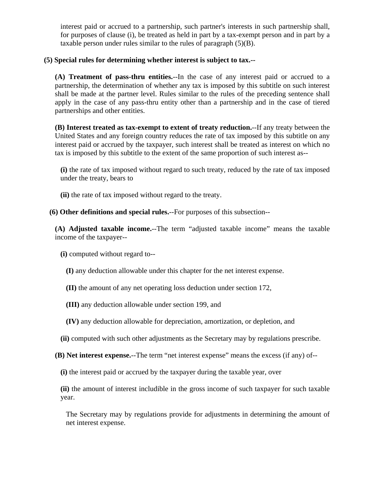interest paid or accrued to a partnership, such partner's interests in such partnership shall, for purposes of clause (i), be treated as held in part by a tax-exempt person and in part by a taxable person under rules similar to the rules of paragraph (5)(B).

### **(5) Special rules for determining whether interest is subject to tax.--**

**(A) Treatment of pass-thru entities.**--In the case of any interest paid or accrued to a partnership, the determination of whether any tax is imposed by this subtitle on such interest shall be made at the partner level. Rules similar to the rules of the preceding sentence shall apply in the case of any pass-thru entity other than a partnership and in the case of tiered partnerships and other entities.

**(B) Interest treated as tax-exempt to extent of treaty reduction.**--If any treaty between the United States and any foreign country reduces the rate of tax imposed by this subtitle on any interest paid or accrued by the taxpayer, such interest shall be treated as interest on which no tax is imposed by this subtitle to the extent of the same proportion of such interest as--

**(i)** the rate of tax imposed without regard to such treaty, reduced by the rate of tax imposed under the treaty, bears to

**(ii)** the rate of tax imposed without regard to the treaty.

**(6) Other definitions and special rules.**--For purposes of this subsection--

**(A) Adjusted taxable income.**--The term "adjusted taxable income" means the taxable income of the taxpayer--

**(i)** computed without regard to--

**(I)** any deduction allowable under this chapter for the net interest expense.

**(II)** the amount of any net operating loss deduction under section 172,

**(III)** any deduction allowable under section 199, and

**(IV)** any deduction allowable for depreciation, amortization, or depletion, and

**(ii)** computed with such other adjustments as the Secretary may by regulations prescribe.

**(B) Net interest expense.**--The term "net interest expense" means the excess (if any) of--

**(i)** the interest paid or accrued by the taxpayer during the taxable year, over

**(ii)** the amount of interest includible in the gross income of such taxpayer for such taxable year.

The Secretary may by regulations provide for adjustments in determining the amount of net interest expense.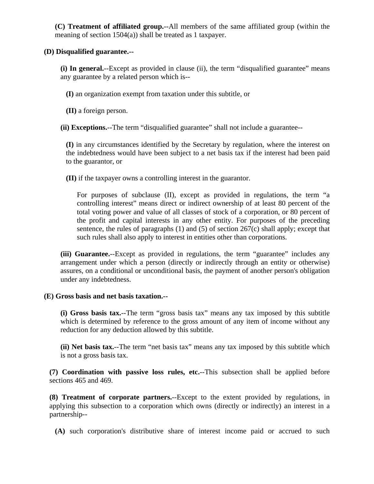**(C) Treatment of affiliated group.**--All members of the same affiliated group (within the meaning of section 1504(a)) shall be treated as 1 taxpayer.

### **(D) Disqualified guarantee.--**

**(i) In general.**--Except as provided in clause (ii), the term "disqualified guarantee" means any guarantee by a related person which is--

**(I)** an organization exempt from taxation under this subtitle, or

**(II)** a foreign person.

**(ii) Exceptions.**--The term "disqualified guarantee" shall not include a guarantee--

**(I)** in any circumstances identified by the Secretary by regulation, where the interest on the indebtedness would have been subject to a net basis tax if the interest had been paid to the guarantor, or

**(II)** if the taxpayer owns a controlling interest in the guarantor.

For purposes of subclause (II), except as provided in regulations, the term "a controlling interest" means direct or indirect ownership of at least 80 percent of the total voting power and value of all classes of stock of a corporation, or 80 percent of the profit and capital interests in any other entity. For purposes of the preceding sentence, the rules of paragraphs  $(1)$  and  $(5)$  of section 267 $(c)$  shall apply; except that such rules shall also apply to interest in entities other than corporations.

**(iii) Guarantee.**--Except as provided in regulations, the term "guarantee" includes any arrangement under which a person (directly or indirectly through an entity or otherwise) assures, on a conditional or unconditional basis, the payment of another person's obligation under any indebtedness.

### **(E) Gross basis and net basis taxation.--**

**(i) Gross basis tax.**--The term "gross basis tax" means any tax imposed by this subtitle which is determined by reference to the gross amount of any item of income without any reduction for any deduction allowed by this subtitle.

**(ii) Net basis tax.**--The term "net basis tax" means any tax imposed by this subtitle which is not a gross basis tax.

**(7) Coordination with passive loss rules, etc.**--This subsection shall be applied before sections 465 and 469.

**(8) Treatment of corporate partners.**--Except to the extent provided by regulations, in applying this subsection to a corporation which owns (directly or indirectly) an interest in a partnership--

**(A)** such corporation's distributive share of interest income paid or accrued to such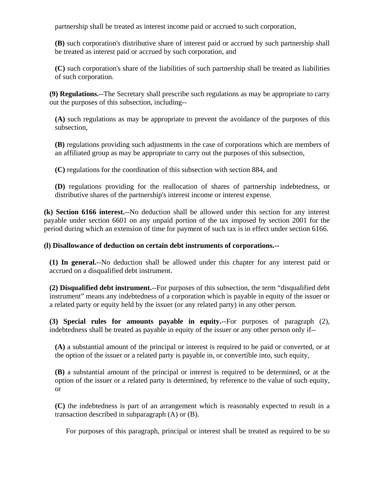partnership shall be treated as interest income paid or accrued to such corporation,

**(B)** such corporation's distributive share of interest paid or accrued by such partnership shall be treated as interest paid or accrued by such corporation, and

**(C)** such corporation's share of the liabilities of such partnership shall be treated as liabilities of such corporation.

**(9) Regulations.**--The Secretary shall prescribe such regulations as may be appropriate to carry out the purposes of this subsection, including--

**(A)** such regulations as may be appropriate to prevent the avoidance of the purposes of this subsection,

**(B)** regulations providing such adjustments in the case of corporations which are members of an affiliated group as may be appropriate to carry out the purposes of this subsection,

**(C)** regulations for the coordination of this subsection with section 884, and

**(D)** regulations providing for the reallocation of shares of partnership indebtedness, or distributive shares of the partnership's interest income or interest expense.

**(k) Section 6166 interest.**--No deduction shall be allowed under this section for any interest payable under section 6601 on any unpaid portion of the tax imposed by section 2001 for the period during which an extension of time for payment of such tax is in effect under section 6166.

### **(l) Disallowance of deduction on certain debt instruments of corporations.--**

**(1) In general.**--No deduction shall be allowed under this chapter for any interest paid or accrued on a disqualified debt instrument.

**(2) Disqualified debt instrument.**--For purposes of this subsection, the term "disqualified debt instrument" means any indebtedness of a corporation which is payable in equity of the issuer or a related party or equity held by the issuer (or any related party) in any other person.

**(3) Special rules for amounts payable in equity.**--For purposes of paragraph (2), indebtedness shall be treated as payable in equity of the issuer or any other person only if--

**(A)** a substantial amount of the principal or interest is required to be paid or converted, or at the option of the issuer or a related party is payable in, or convertible into, such equity,

**(B)** a substantial amount of the principal or interest is required to be determined, or at the option of the issuer or a related party is determined, by reference to the value of such equity, or

**(C)** the indebtedness is part of an arrangement which is reasonably expected to result in a transaction described in subparagraph (A) or (B).

For purposes of this paragraph, principal or interest shall be treated as required to be so